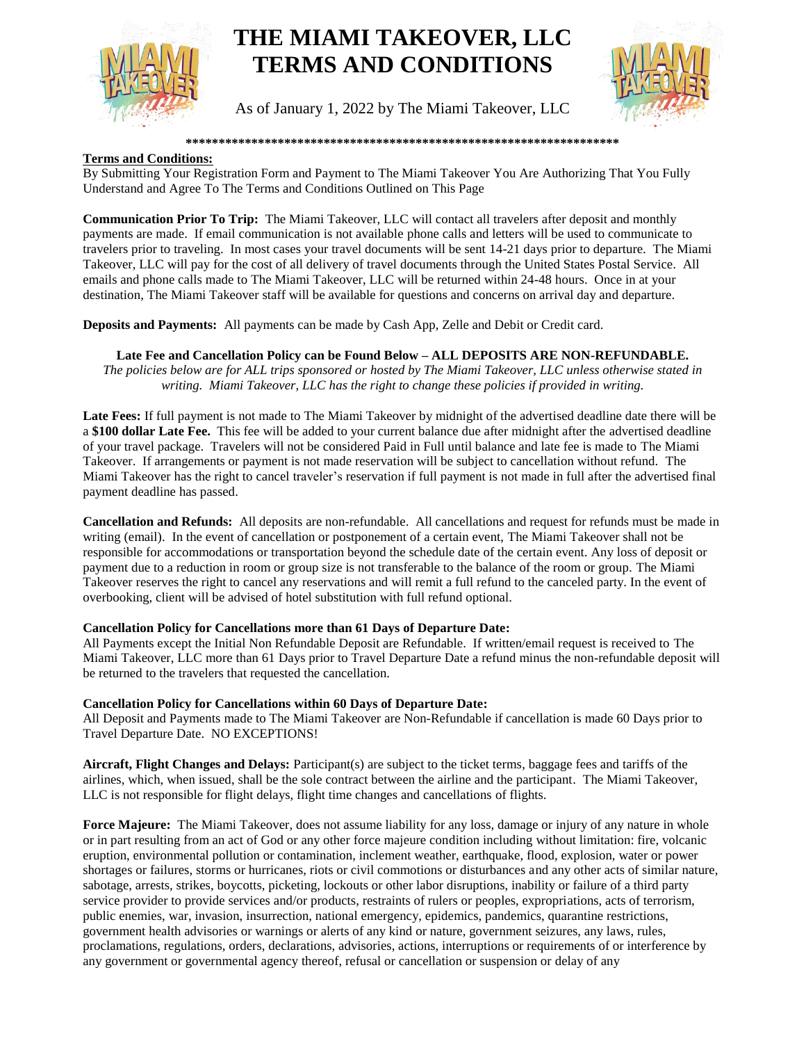

# **THE MIAMI TAKEOVER, LLC TERMS AND CONDITIONS**

As of January 1, 2022 by The Miami Takeover, LLC



#### **\*\*\*\*\*\*\*\*\*\*\*\*\*\*\*\*\*\*\*\*\*\*\*\*\*\*\*\*\*\*\*\*\*\*\*\*\*\*\*\*\*\*\*\*\*\*\*\*\*\*\*\*\*\*\*\*\*\*\*\*\*\*\*\*\*\***

#### **Terms and Conditions:**

By Submitting Your Registration Form and Payment to The Miami Takeover You Are Authorizing That You Fully Understand and Agree To The Terms and Conditions Outlined on This Page

**Communication Prior To Trip:** The Miami Takeover, LLC will contact all travelers after deposit and monthly payments are made. If email communication is not available phone calls and letters will be used to communicate to travelers prior to traveling. In most cases your travel documents will be sent 14-21 days prior to departure. The Miami Takeover, LLC will pay for the cost of all delivery of travel documents through the United States Postal Service. All emails and phone calls made to The Miami Takeover, LLC will be returned within 24-48 hours. Once in at your destination, The Miami Takeover staff will be available for questions and concerns on arrival day and departure.

**Deposits and Payments:** All payments can be made by Cash App, Zelle and Debit or Credit card.

## **Late Fee and Cancellation Policy can be Found Below – ALL DEPOSITS ARE NON-REFUNDABLE.**

*The policies below are for ALL trips sponsored or hosted by The Miami Takeover, LLC unless otherwise stated in writing. Miami Takeover, LLC has the right to change these policies if provided in writing.*

**Late Fees:** If full payment is not made to The Miami Takeover by midnight of the advertised deadline date there will be a **\$100 dollar Late Fee.** This fee will be added to your current balance due after midnight after the advertised deadline of your travel package. Travelers will not be considered Paid in Full until balance and late fee is made to The Miami Takeover. If arrangements or payment is not made reservation will be subject to cancellation without refund. The Miami Takeover has the right to cancel traveler's reservation if full payment is not made in full after the advertised final payment deadline has passed.

**Cancellation and Refunds:** All deposits are non-refundable. All cancellations and request for refunds must be made in writing (email). In the event of cancellation or postponement of a certain event, The Miami Takeover shall not be responsible for accommodations or transportation beyond the schedule date of the certain event. Any loss of deposit or payment due to a reduction in room or group size is not transferable to the balance of the room or group. The Miami Takeover reserves the right to cancel any reservations and will remit a full refund to the canceled party. In the event of overbooking, client will be advised of hotel substitution with full refund optional.

### **Cancellation Policy for Cancellations more than 61 Days of Departure Date:**

All Payments except the Initial Non Refundable Deposit are Refundable. If written/email request is received to The Miami Takeover, LLC more than 61 Days prior to Travel Departure Date a refund minus the non-refundable deposit will be returned to the travelers that requested the cancellation.

### **Cancellation Policy for Cancellations within 60 Days of Departure Date:**

All Deposit and Payments made to The Miami Takeover are Non-Refundable if cancellation is made 60 Days prior to Travel Departure Date. NO EXCEPTIONS!

**Aircraft, Flight Changes and Delays:** Participant(s) are subject to the ticket terms, baggage fees and tariffs of the airlines, which, when issued, shall be the sole contract between the airline and the participant. The Miami Takeover, LLC is not responsible for flight delays, flight time changes and cancellations of flights.

**Force Majeure:** The Miami Takeover, does not assume liability for any loss, damage or injury of any nature in whole or in part resulting from an act of God or any other force majeure condition including without limitation: fire, volcanic eruption, environmental pollution or contamination, inclement weather, earthquake, flood, explosion, water or power shortages or failures, storms or hurricanes, riots or civil commotions or disturbances and any other acts of similar nature, sabotage, arrests, strikes, boycotts, picketing, lockouts or other labor disruptions, inability or failure of a third party service provider to provide services and/or products, restraints of rulers or peoples, expropriations, acts of terrorism, public enemies, war, invasion, insurrection, national emergency, epidemics, pandemics, quarantine restrictions, government health advisories or warnings or alerts of any kind or nature, government seizures, any laws, rules, proclamations, regulations, orders, declarations, advisories, actions, interruptions or requirements of or interference by any government or governmental agency thereof, refusal or cancellation or suspension or delay of any